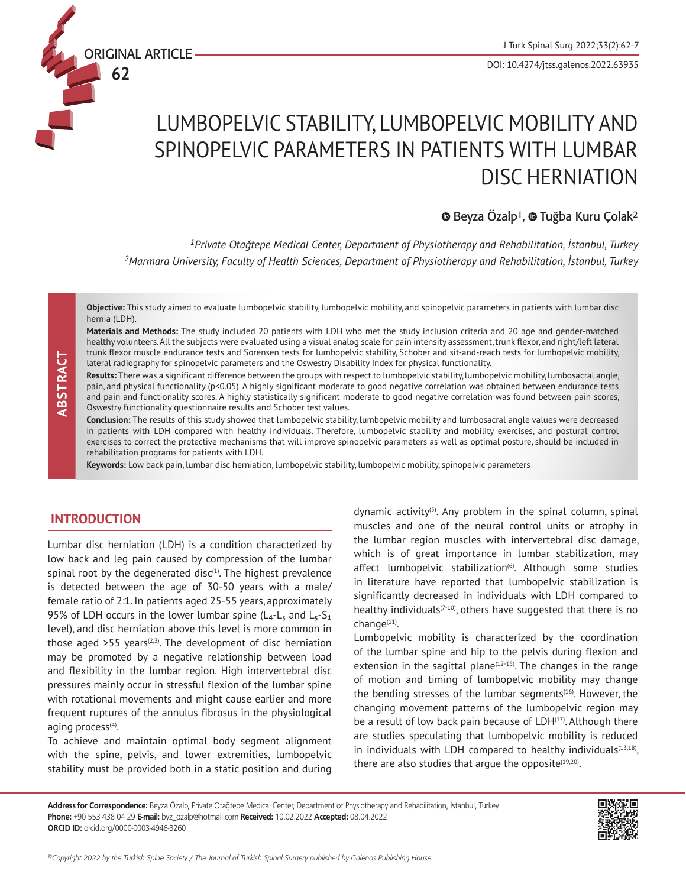ORIGINAL ARTICLE

**62**

# LUMBOPELVIC STABILITY, LUMBOPELVIC MOBILITY AND SPINOPELVIC PARAMETERS IN PATIENTS WITH LUMBAR DISC HERNIATION

### $\bullet$ Beyza Özalp<sup>1</sup>,  $\bullet$  Tuğba Kuru Çolak<sup>2</sup>

*<sup>1</sup>Private Otağtepe Medical Center, Department of Physiotherapy and Rehabilitation, İstanbul, Turkey <sup>2</sup>Marmara University, Faculty of Health Sciences, Department of Physiotherapy and Rehabilitation, İstanbul, Turkey*

**Objective:** This study aimed to evaluate lumbopelvic stability, lumbopelvic mobility, and spinopelvic parameters in patients with lumbar disc hernia (LDH).

**Materials and Methods:** The study included 20 patients with LDH who met the study inclusion criteria and 20 age and gender-matched healthy volunteers. All the subjects were evaluated using a visual analog scale for pain intensity assessment, trunk flexor, and right/left lateral trunk flexor muscle endurance tests and Sorensen tests for lumbopelvic stability, Schober and sit-and-reach tests for lumbopelvic mobility, lateral radiography for spinopelvic parameters and the Oswestry Disability Index for physical functionality.

Results: There was a significant difference between the groups with respect to lumbopelvic stability, lumbopelvic mobility, lumbosacral angle, pain, and physical functionality (p<0.05). A highly significant moderate to good negative correlation was obtained between endurance tests and pain and functionality scores. A highly statistically significant moderate to good negative correlation was found between pain scores, Oswestry functionality questionnaire results and Schober test values.

**Conclusion:** The results of this study showed that lumbopelvic stability, lumbopelvic mobility and lumbosacral angle values were decreased in patients with LDH compared with healthy individuals. Therefore, lumbopelvic stability and mobility exercises, and postural control exercises to correct the protective mechanisms that will improve spinopelvic parameters as well as optimal posture, should be included in rehabilitation programs for patients with LDH.

**Keywords:** Low back pain, lumbar disc herniation, lumbopelvic stability, lumbopelvic mobility, spinopelvic parameters

### **INTRODUCTION**

**CONTABTA CONTRACT CONTRACT CONTRACT CONTRACT CONTRACT CONTRACT CONTRACT CONTRACT CONTRACT CONTRACT CONTRACT CONTRACT CONTRACT CONTRACT CONTRACT CONTRACT CONTRACT CONTRACT CONTRACT CONTRACT CONTRACT CONTRACT CONTRACT CONTR** Lumbar disc herniation (LDH) is a condition characterized by low back and leg pain caused by compression of the lumbar spinal root by the degenerated disc $(1)$ . The highest prevalence is detected between the age of 30-50 years with a male/ female ratio of 2:1. In patients aged 25-55 years, approximately 95% of LDH occurs in the lower lumbar spine ( $L_4$ - $L_5$  and  $L_5$ - $S_1$ level), and disc herniation above this level is more common in those aged  $>55$  years<sup> $(2,3)$ </sup>. The development of disc herniation may be promoted by a negative relationship between load and flexibility in the lumbar region. High intervertebral disc pressures mainly occur in stressful flexion of the lumbar spine with rotational movements and might cause earlier and more frequent ruptures of the annulus fibrosus in the physiological aging process $(4)$ .

To achieve and maintain optimal body segment alignment with the spine, pelvis, and lower extremities, lumbopelvic stability must be provided both in a static position and during dynamic activity<sup>(5)</sup>. Any problem in the spinal column, spinal muscles and one of the neural control units or atrophy in the lumbar region muscles with intervertebral disc damage, which is of great importance in lumbar stabilization, may affect lumbopelvic stabilization<sup>(6)</sup>. Although some studies in literature have reported that lumbopelvic stabilization is significantly decreased in individuals with LDH compared to healthy individuals $(7-10)$ , others have suggested that there is no change<sup>(11)</sup>.

Lumbopelvic mobility is characterized by the coordination of the lumbar spine and hip to the pelvis during flexion and extension in the sagittal plane $(12-15)$ . The changes in the range of motion and timing of lumbopelvic mobility may change the bending stresses of the lumbar segments $(16)$ . However, the changing movement patterns of the lumbopelvic region may be a result of low back pain because of  $LDH<sup>(17)</sup>$ . Although there are studies speculating that lumbopelvic mobility is reduced in individuals with LDH compared to healthy individuals $(13,18)$ , there are also studies that argue the opposite $(19,20)$ .

**Address for Correspondence:** Beyza Özalp, Private Otağtepe Medical Center, Department of Physiotherapy and Rehabilitation, İstanbul, Turkey **Phone:** +90 553 438 04 29 **E-mail:** byz\_ozalp@hotmail.com **Received:** 10.02.2022 **Accepted:** 08.04.2022

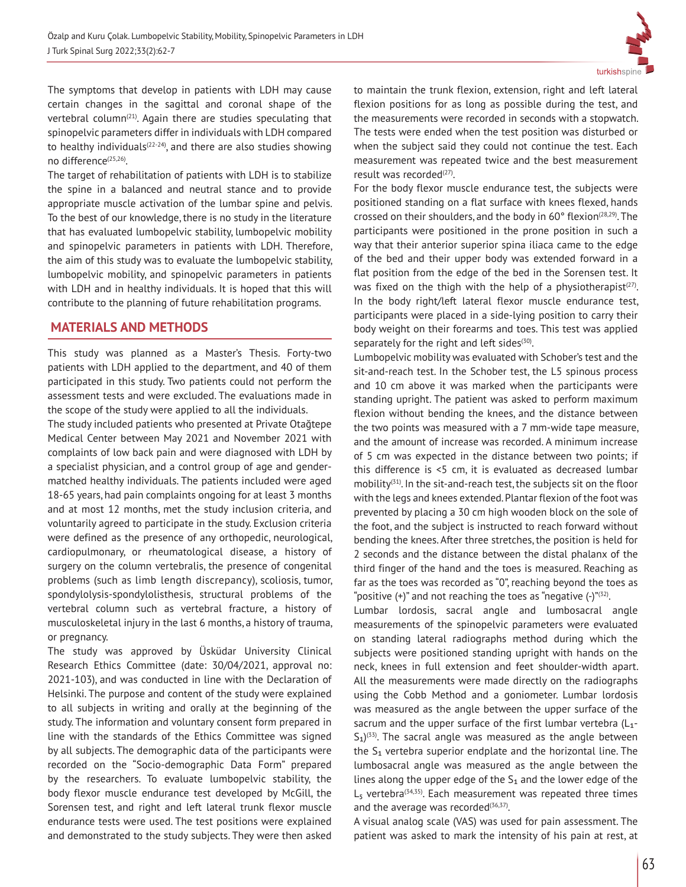

The symptoms that develop in patients with LDH may cause certain changes in the sagittal and coronal shape of the vertebral column<sup> $(21)$ </sup>. Again there are studies speculating that spinopelvic parameters differ in individuals with LDH compared to healthy individuals $(22-24)$ , and there are also studies showing no difference<sup>(25,26)</sup>.

The target of rehabilitation of patients with LDH is to stabilize the spine in a balanced and neutral stance and to provide appropriate muscle activation of the lumbar spine and pelvis. To the best of our knowledge, there is no study in the literature that has evaluated lumbopelvic stability, lumbopelvic mobility and spinopelvic parameters in patients with LDH. Therefore, the aim of this study was to evaluate the lumbopelvic stability, lumbopelvic mobility, and spinopelvic parameters in patients with LDH and in healthy individuals. It is hoped that this will contribute to the planning of future rehabilitation programs.

## **MATERIALS AND METHODS**

This study was planned as a Master's Thesis. Forty-two patients with LDH applied to the department, and 40 of them participated in this study. Two patients could not perform the assessment tests and were excluded. The evaluations made in the scope of the study were applied to all the individuals.

The study included patients who presented at Private Otağtepe Medical Center between May 2021 and November 2021 with complaints of low back pain and were diagnosed with LDH by a specialist physician, and a control group of age and gendermatched healthy individuals. The patients included were aged 18-65 years, had pain complaints ongoing for at least 3 months and at most 12 months, met the study inclusion criteria, and voluntarily agreed to participate in the study. Exclusion criteria were defined as the presence of any orthopedic, neurological, cardiopulmonary, or rheumatological disease, a history of surgery on the column vertebralis, the presence of congenital problems (such as limb length discrepancy), scoliosis, tumor, spondylolysis-spondylolisthesis, structural problems of the vertebral column such as vertebral fracture, a history of musculoskeletal injury in the last 6 months, a history of trauma, or pregnancy.

The study was approved by Üsküdar University Clinical Research Ethics Committee (date: 30/04/2021, approval no: 2021-103), and was conducted in line with the Declaration of Helsinki. The purpose and content of the study were explained to all subjects in writing and orally at the beginning of the study. The information and voluntary consent form prepared in line with the standards of the Ethics Committee was signed by all subjects. The demographic data of the participants were recorded on the "Socio-demographic Data Form" prepared by the researchers. To evaluate lumbopelvic stability, the body flexor muscle endurance test developed by McGill, the Sorensen test, and right and left lateral trunk flexor muscle endurance tests were used. The test positions were explained and demonstrated to the study subjects. They were then asked to maintain the trunk flexion, extension, right and left lateral flexion positions for as long as possible during the test, and the measurements were recorded in seconds with a stopwatch. The tests were ended when the test position was disturbed or when the subject said they could not continue the test. Each measurement was repeated twice and the best measurement result was recorded<sup>(27)</sup>.

For the body flexor muscle endurance test, the subjects were positioned standing on a flat surface with knees flexed, hands crossed on their shoulders, and the body in  $60^\circ$  flexion<sup> $(28,29)$ </sup>. The participants were positioned in the prone position in such a way that their anterior superior spina iliaca came to the edge of the bed and their upper body was extended forward in a flat position from the edge of the bed in the Sorensen test. It was fixed on the thigh with the help of a physiotherapist $(27)$ . In the body right/left lateral flexor muscle endurance test, participants were placed in a side-lying position to carry their body weight on their forearms and toes. This test was applied separately for the right and left sides $(30)$ .

Lumbopelvic mobility was evaluated with Schober's test and the sit-and-reach test. In the Schober test, the L5 spinous process and 10 cm above it was marked when the participants were standing upright. The patient was asked to perform maximum flexion without bending the knees, and the distance between the two points was measured with a 7 mm-wide tape measure, and the amount of increase was recorded. A minimum increase of 5 cm was expected in the distance between two points; if this difference is <5 cm, it is evaluated as decreased lumbar mobility(31). In the sit-and-reach test, the subjects sit on the floor with the legs and knees extended. Plantar flexion of the foot was prevented by placing a 30 cm high wooden block on the sole of the foot, and the subject is instructed to reach forward without bending the knees. After three stretches, the position is held for 2 seconds and the distance between the distal phalanx of the third finger of the hand and the toes is measured. Reaching as far as the toes was recorded as "0", reaching beyond the toes as "positive  $(+)$ " and not reaching the toes as "negative  $(-)^{n(32)}$ .

Lumbar lordosis, sacral angle and lumbosacral angle measurements of the spinopelvic parameters were evaluated on standing lateral radiographs method during which the subjects were positioned standing upright with hands on the neck, knees in full extension and feet shoulder-width apart. All the measurements were made directly on the radiographs using the Cobb Method and a goniometer. Lumbar lordosis was measured as the angle between the upper surface of the sacrum and the upper surface of the first lumbar vertebra  $(L_1 S_1$ )<sup>(33)</sup>. The sacral angle was measured as the angle between the S<sub>1</sub> vertebra superior endplate and the horizontal line. The lumbosacral angle was measured as the angle between the lines along the upper edge of the  $S_1$  and the lower edge of the  $L_5$  vertebra<sup>(34,35)</sup>. Each measurement was repeated three times and the average was recorded $(36,37)$ .

A visual analog scale (VAS) was used for pain assessment. The patient was asked to mark the intensity of his pain at rest, at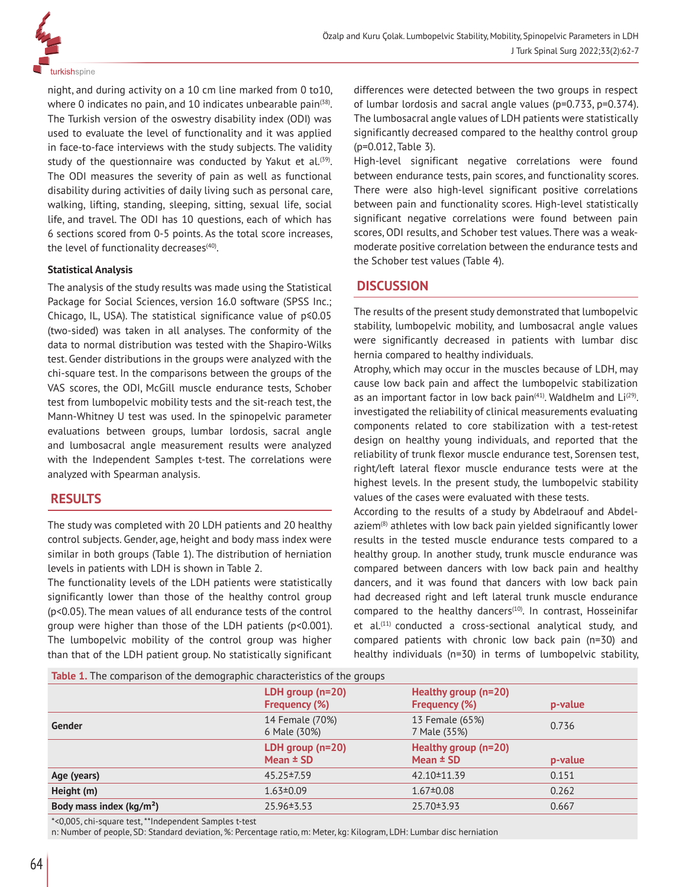

night, and during activity on a 10 cm line marked from 0 to10, where 0 indicates no pain, and 10 indicates unbearable pain $(38)$ . The Turkish version of the oswestry disability index (ODI) was used to evaluate the level of functionality and it was applied in face-to-face interviews with the study subjects. The validity study of the questionnaire was conducted by Yakut et al.<sup>(39)</sup>. The ODI measures the severity of pain as well as functional disability during activities of daily living such as personal care, walking, lifting, standing, sleeping, sitting, sexual life, social life, and travel. The ODI has 10 questions, each of which has 6 sections scored from 0-5 points. As the total score increases, the level of functionality decreases $(40)$ .

#### **Statistical Analysis**

The analysis of the study results was made using the Statistical Package for Social Sciences, version 16.0 software (SPSS Inc.; Chicago, IL, USA). The statistical significance value of p≤0.05 (two-sided) was taken in all analyses. The conformity of the data to normal distribution was tested with the Shapiro-Wilks test. Gender distributions in the groups were analyzed with the chi-square test. In the comparisons between the groups of the VAS scores, the ODI, McGill muscle endurance tests, Schober test from lumbopelvic mobility tests and the sit-reach test, the Mann-Whitney U test was used. In the spinopelvic parameter evaluations between groups, lumbar lordosis, sacral angle and lumbosacral angle measurement results were analyzed with the Independent Samples t-test. The correlations were analyzed with Spearman analysis.

### **RESULTS**

The study was completed with 20 LDH patients and 20 healthy control subjects. Gender, age, height and body mass index were similar in both groups (Table 1). The distribution of herniation levels in patients with LDH is shown in Table 2.

The functionality levels of the LDH patients were statistically significantly lower than those of the healthy control group (p<0.05). The mean values of all endurance tests of the control group were higher than those of the LDH patients (p<0.001). The lumbopelvic mobility of the control group was higher than that of the LDH patient group. No statistically significant

differences were detected between the two groups in respect of lumbar lordosis and sacral angle values (p=0.733, p=0.374). The lumbosacral angle values of LDH patients were statistically significantly decreased compared to the healthy control group (p=0.012, Table 3).

High-level significant negative correlations were found between endurance tests, pain scores, and functionality scores. There were also high-level significant positive correlations between pain and functionality scores. High-level statistically significant negative correlations were found between pain scores, ODI results, and Schober test values. There was a weakmoderate positive correlation between the endurance tests and the Schober test values (Table 4).

### **DISCUSSION**

The results of the present study demonstrated that lumbopelvic stability, lumbopelvic mobility, and lumbosacral angle values were significantly decreased in patients with lumbar disc hernia compared to healthy individuals.

Atrophy, which may occur in the muscles because of LDH, may cause low back pain and affect the lumbopelvic stabilization as an important factor in low back pain $(41)$ . Waldhelm and Li $(29)$ . investigated the reliability of clinical measurements evaluating components related to core stabilization with a test-retest design on healthy young individuals, and reported that the reliability of trunk flexor muscle endurance test, Sorensen test, right/left lateral flexor muscle endurance tests were at the highest levels. In the present study, the lumbopelvic stability values of the cases were evaluated with these tests.

According to the results of a study by Abdelraouf and Abdelaziem(8) athletes with low back pain yielded significantly lower results in the tested muscle endurance tests compared to a healthy group. In another study, trunk muscle endurance was compared between dancers with low back pain and healthy dancers, and it was found that dancers with low back pain had decreased right and left lateral trunk muscle endurance compared to the healthy dancers<sup> $(10)$ </sup>. In contrast, Hosseinifar et al.<sup>(11)</sup> conducted a cross-sectional analytical study, and compared patients with chronic low back pain (n=30) and healthy individuals (n=30) in terms of lumbopelvic stability,

|  |  | <b>Table 1.</b> The comparison of the demographic characteristics of the groups |  |
|--|--|---------------------------------------------------------------------------------|--|
|  |  |                                                                                 |  |
|  |  |                                                                                 |  |
|  |  |                                                                                 |  |

| <b>Table 1.</b> The comparison of the demographic characteristics of the groups |                                            |                                              |         |
|---------------------------------------------------------------------------------|--------------------------------------------|----------------------------------------------|---------|
|                                                                                 | LDH group $(n=20)$<br><b>Frequency (%)</b> | Healthy group (n=20)<br><b>Frequency (%)</b> | p-value |
| Gender                                                                          | 14 Female (70%)<br>6 Male (30%)            | 13 Female (65%)<br>7 Male (35%)              | 0.736   |
|                                                                                 | LDH group $(n=20)$<br>Mean $\pm$ SD        | Healthy group (n=20)<br>Mean $\pm$ SD        | p-value |
| Age (years)                                                                     | 45.25 ± 7.59                               | 42.10 ± 11.39                                | 0.151   |
| Height (m)                                                                      | $1.63 \pm 0.09$                            | $1.67 \pm 0.08$                              | 0.262   |
|                                                                                 |                                            |                                              |         |
| Body mass index (kg/m <sup>2</sup> )                                            | 25.96 $\pm$ 3.53                           | 25.70 ± 3.93                                 | 0.667   |

\*<0,005, chi-square test, \*\*Independent Samples t-test

n: Number of people, SD: Standard deviation, %: Percentage ratio, m: Meter, kg: Kilogram, LDH: Lumbar disc herniation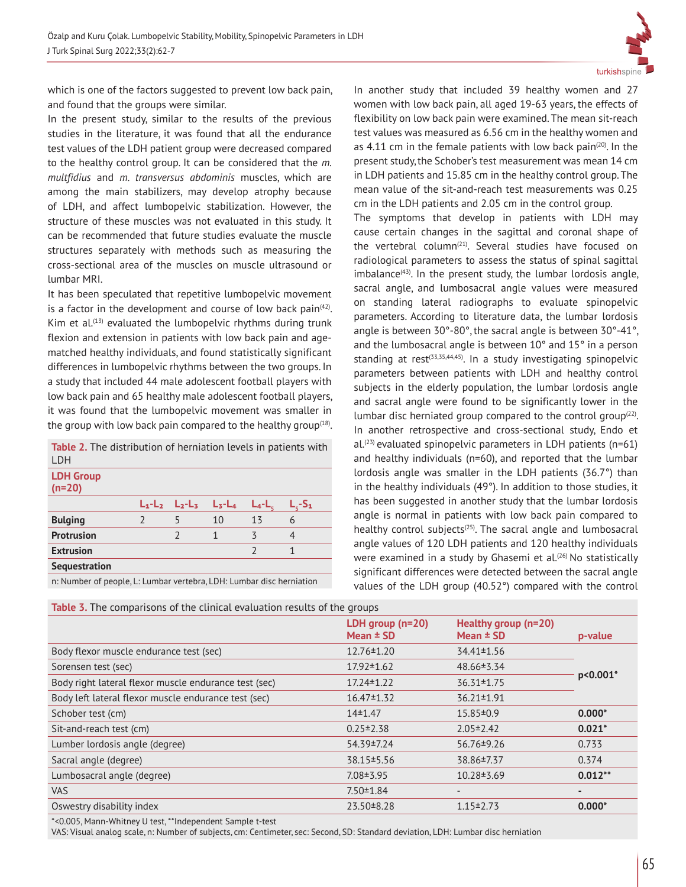

which is one of the factors suggested to prevent low back pain, and found that the groups were similar.

In the present study, similar to the results of the previous studies in the literature, it was found that all the endurance test values of the LDH patient group were decreased compared to the healthy control group. It can be considered that the *m. multfidius* and *m. transversus abdominis* muscles, which are among the main stabilizers, may develop atrophy because of LDH, and affect lumbopelvic stabilization. However, the structure of these muscles was not evaluated in this study. It can be recommended that future studies evaluate the muscle structures separately with methods such as measuring the cross-sectional area of the muscles on muscle ultrasound or lumbar MRI.

It has been speculated that repetitive lumbopelvic movement is a factor in the development and course of low back pain $(42)$ . Kim et al. $(13)$  evaluated the lumbopelvic rhythms during trunk flexion and extension in patients with low back pain and agematched healthy individuals, and found statistically significant differences in lumbopelvic rhythms between the two groups. In a study that included 44 male adolescent football players with low back pain and 65 healthy male adolescent football players, it was found that the lumbopelvic movement was smaller in the group with low back pain compared to the healthy group $(18)$ .

**Table 2.** The distribution of herniation levels in patients with LDH

| <b>LDH Group</b><br>$(n=20)$                                                                                                                                                                                                     |                     |           |                                                                                                                                                                                                                                   |         |  |
|----------------------------------------------------------------------------------------------------------------------------------------------------------------------------------------------------------------------------------|---------------------|-----------|-----------------------------------------------------------------------------------------------------------------------------------------------------------------------------------------------------------------------------------|---------|--|
|                                                                                                                                                                                                                                  | $L_1-L_2$ $L_2-L_3$ | $L_3-L_4$ | $L_4$ -L,                                                                                                                                                                                                                         | -S1     |  |
| <b>Bulging</b>                                                                                                                                                                                                                   |                     | 10        | 13                                                                                                                                                                                                                                | 6       |  |
| <b>Protrusion</b>                                                                                                                                                                                                                |                     |           | ζ                                                                                                                                                                                                                                 |         |  |
| <b>Extrusion</b>                                                                                                                                                                                                                 |                     |           | $\overline{ }$                                                                                                                                                                                                                    |         |  |
| Sequestration                                                                                                                                                                                                                    |                     |           |                                                                                                                                                                                                                                   |         |  |
| $\mathbf{r}$ , and the set of the set of the set of the set of the set of the set of the set of the set of the set of the set of the set of the set of the set of the set of the set of the set of the set of the set of the set |                     |           | $\mathbf{r}$ . The set of the set of the set of the set of the set of the set of the set of the set of the set of the set of the set of the set of the set of the set of the set of the set of the set of the set of the set of t | $\cdot$ |  |

n: Number of people, L: Lumbar vertebra, LDH: Lumbar disc herniation

In another study that included 39 healthy women and 27 women with low back pain, all aged 19-63 years, the effects of flexibility on low back pain were examined. The mean sit-reach test values was measured as 6.56 cm in the healthy women and as 4.11 cm in the female patients with low back pain $(20)$ . In the present study, the Schober's test measurement was mean 14 cm in LDH patients and 15.85 cm in the healthy control group. The mean value of the sit-and-reach test measurements was 0.25 cm in the LDH patients and 2.05 cm in the control group.

The symptoms that develop in patients with LDH may cause certain changes in the sagittal and coronal shape of the vertebral column<sup>(21)</sup>. Several studies have focused on radiological parameters to assess the status of spinal sagittal imbalance $(43)$ . In the present study, the lumbar lordosis angle, sacral angle, and lumbosacral angle values were measured on standing lateral radiographs to evaluate spinopelvic parameters. According to literature data, the lumbar lordosis angle is between 30°-80°, the sacral angle is between 30°-41°, and the lumbosacral angle is between 10° and 15° in a person standing at  $rest^{(33,35,44,45)}$ . In a study investigating spinopelvic parameters between patients with LDH and healthy control subjects in the elderly population, the lumbar lordosis angle and sacral angle were found to be significantly lower in the lumbar disc herniated group compared to the control group $(22)$ . In another retrospective and cross-sectional study, Endo et  $al.$ <sup>(23)</sup> evaluated spinopelvic parameters in LDH patients (n=61) and healthy individuals (n=60), and reported that the lumbar lordosis angle was smaller in the LDH patients (36.7°) than in the healthy individuals (49°). In addition to those studies, it has been suggested in another study that the lumbar lordosis angle is normal in patients with low back pain compared to healthy control subjects<sup>(25)</sup>. The sacral angle and lumbosacral angle values of 120 LDH patients and 120 healthy individuals were examined in a study by Ghasemi et al.<sup>(26)</sup> No statistically significant differences were detected between the sacral angle values of the LDH group (40.52°) compared with the control

| Table 3. The comparisons of the clinical evaluation results of the groups |                                   |                                       |                          |  |  |  |
|---------------------------------------------------------------------------|-----------------------------------|---------------------------------------|--------------------------|--|--|--|
|                                                                           | LDH group $(n=20)$<br>Mean $±$ SD | Healthy group (n=20)<br>Mean $\pm$ SD | p-value                  |  |  |  |
| Body flexor muscle endurance test (sec)                                   | $12.76 \pm 1.20$                  | $34.41 \pm 1.56$                      |                          |  |  |  |
| Sorensen test (sec)                                                       | $17.92 \pm 1.62$                  | 48.66 ± 3.34                          |                          |  |  |  |
| Body right lateral flexor muscle endurance test (sec)                     | $17.24 \pm 1.22$                  | $36.31 \pm 1.75$                      | $p<0.001*$               |  |  |  |
| Body left lateral flexor muscle endurance test (sec)                      | $16.47 \pm 1.32$                  | $36.21 \pm 1.91$                      |                          |  |  |  |
| Schober test (cm)                                                         | $14+1.47$                         | $15.85 \pm 0.9$                       | $0.000*$                 |  |  |  |
| Sit-and-reach test (cm)                                                   | $0.25 \pm 2.38$                   | $2.05 \pm 2.42$                       | $0.021*$                 |  |  |  |
| Lumber lordosis angle (degree)                                            | 54.39 ± 7.24                      | 56.76 ± 9.26                          | 0.733                    |  |  |  |
| Sacral angle (degree)                                                     | 38.15 ± 5.56                      | 38.86±7.37                            | 0.374                    |  |  |  |
| Lumbosacral angle (degree)                                                | $7.08 \pm 3.95$                   | $10.28 \pm 3.69$                      | $0.012**$                |  |  |  |
| <b>VAS</b>                                                                | $7.50 \pm 1.84$                   |                                       | $\overline{\phantom{0}}$ |  |  |  |
| Oswestry disability index                                                 | 23.50 ± 8.28                      | $1.15 \pm 2.73$                       | $0.000*$                 |  |  |  |

\*<0.005, Mann-Whitney U test, \*\*Independent Sample t-test

VAS: Visual analog scale, n: Number of subjects, cm: Centimeter, sec: Second, SD: Standard deviation, LDH: Lumbar disc herniation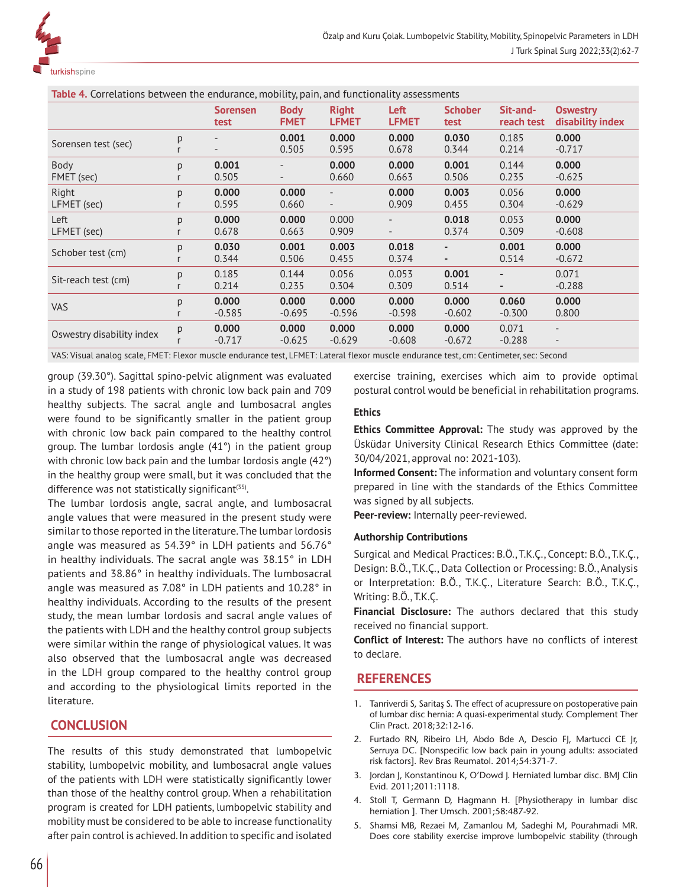

**Table 4.** Correlations between the endurance, mobility, pain, and functionality assessments

|                           |        | <b>Sorensen</b><br>test | <b>Body</b><br><b>FMET</b> | <b>Right</b><br><b>LFMET</b> | Left<br><b>LFMET</b>     | <b>Schober</b><br>test | Sit-and-<br>reach test   | <b>Oswestry</b><br>disability index                  |
|---------------------------|--------|-------------------------|----------------------------|------------------------------|--------------------------|------------------------|--------------------------|------------------------------------------------------|
| Sorensen test (sec)       | p      |                         | 0.001<br>0.505             | 0.000<br>0.595               | 0.000<br>0.678           | 0.030<br>0.344         | 0.185<br>0.214           | 0.000<br>$-0.717$                                    |
| Body<br>FMET (sec)        | p      | 0.001<br>0.505          | $\overline{\phantom{a}}$   | 0.000<br>0.660               | 0.000<br>0.663           | 0.001<br>0.506         | 0.144<br>0.235           | 0.000<br>$-0.625$                                    |
| Right<br>LFMET (sec)      | p      | 0.000<br>0.595          | 0.000<br>0.660             | $\overline{\phantom{0}}$     | 0.000<br>0.909           | 0.003<br>0.455         | 0.056<br>0.304           | 0.000<br>$-0.629$                                    |
| Left<br>LFMET (sec)       | p      | 0.000<br>0.678          | 0.000<br>0.663             | 0.000<br>0.909               | $\overline{\phantom{0}}$ | 0.018<br>0.374         | 0.053<br>0.309           | 0.000<br>$-0.608$                                    |
| Schober test (cm)         | p      | 0.030<br>0.344          | 0.001<br>0.506             | 0.003<br>0.455               | 0.018<br>0.374           | ٠                      | 0.001<br>0.514           | 0.000<br>$-0.672$                                    |
| Sit-reach test (cm)       | p      | 0.185<br>0.214          | 0.144<br>0.235             | 0.056<br>0.304               | 0.053<br>0.309           | 0.001<br>0.514         | $\overline{\phantom{0}}$ | 0.071<br>$-0.288$                                    |
| <b>VAS</b>                | p<br>r | 0.000<br>$-0.585$       | 0.000<br>$-0.695$          | 0.000<br>$-0.596$            | 0.000<br>$-0.598$        | 0.000<br>$-0.602$      | 0.060<br>$-0.300$        | 0.000<br>0.800                                       |
| Oswestry disability index | p      | 0.000<br>$-0.717$       | 0.000<br>$-0.625$          | 0.000<br>$-0.629$            | 0.000<br>$-0.608$        | 0.000<br>$-0.672$      | 0.071<br>$-0.288$        | $\overline{\phantom{a}}$<br>$\overline{\phantom{a}}$ |

VAS: Visual analog scale, FMET: Flexor muscle endurance test, LFMET: Lateral flexor muscle endurance test, cm: Centimeter, sec: Second

group (39.30°). Sagittal spino-pelvic alignment was evaluated in a study of 198 patients with chronic low back pain and 709 healthy subjects. The sacral angle and lumbosacral angles were found to be significantly smaller in the patient group with chronic low back pain compared to the healthy control group. The lumbar lordosis angle (41°) in the patient group with chronic low back pain and the lumbar lordosis angle (42<sup>°</sup>) in the healthy group were small, but it was concluded that the difference was not statistically significant<sup>(35)</sup>.

The lumbar lordosis angle, sacral angle, and lumbosacral angle values that were measured in the present study were similar to those reported in the literature. The lumbar lordosis angle was measured as 54.39° in LDH patients and 56.76° in healthy individuals. The sacral angle was 38.15° in LDH patients and 38.86° in healthy individuals. The lumbosacral angle was measured as 7.08° in LDH patients and 10.28° in healthy individuals. According to the results of the present study, the mean lumbar lordosis and sacral angle values of the patients with LDH and the healthy control group subjects were similar within the range of physiological values. It was also observed that the lumbosacral angle was decreased in the LDH group compared to the healthy control group and according to the physiological limits reported in the literature.

# **CONCLUSION**

The results of this study demonstrated that lumbopelvic stability, lumbopelvic mobility, and lumbosacral angle values of the patients with LDH were statistically significantly lower than those of the healthy control group. When a rehabilitation program is created for LDH patients, lumbopelvic stability and mobility must be considered to be able to increase functionality after pain control is achieved. In addition to specific and isolated exercise training, exercises which aim to provide optimal postural control would be beneficial in rehabilitation programs.

### **Ethics**

**Ethics Committee Approval:** The study was approved by the Üsküdar University Clinical Research Ethics Committee (date: 30/04/2021, approval no: 2021-103).

**Informed Consent:** The information and voluntary consent form prepared in line with the standards of the Ethics Committee was signed by all subjects.

**Peer-review:** Internally peer-reviewed.

#### **Authorship Contributions**

Surgical and Medical Practices: B.Ö., T.K.Ç., Concept: B.Ö., T.K.Ç., Design: B.Ö., T.K.Ç., Data Collection or Processing: B.Ö., Analysis or Interpretation: B.Ö., T.K.Ç., Literature Search: B.Ö., T.K.Ç., Writing: B.Ö., T.K.Ç.

**Financial Disclosure:** The authors declared that this study received no financial support.

**Conflict of Interest:** The authors have no conflicts of interest to declare.

### **REFERENCES**

- 1. Tanriverdi S, Saritaş S. The effect of acupressure on postoperative pain of lumbar disc hernia: A quasi-experimental study. Complement Ther Clin Pract. 2018;32:12-16.
- 2. Furtado RN, Ribeiro LH, Abdo Bde A, Descio FJ, Martucci CE Jr, Serruya DC. [Nonspecific low back pain in young adults: associated risk factors]. Rev Bras Reumatol. 2014;54:371-7.
- 3. Jordan J, Konstantinou K, O'Dowd J. Herniated lumbar disc. BMJ Clin Evid. 2011;2011:1118.
- 4. Stoll T, Germann D, Hagmann H. [Physiotherapy in lumbar disc herniation ]. Ther Umsch. 2001;58:487-92.
- 5. Shamsi MB, Rezaei M, Zamanlou M, Sadeghi M, Pourahmadi MR. Does core stability exercise improve lumbopelvic stability (through